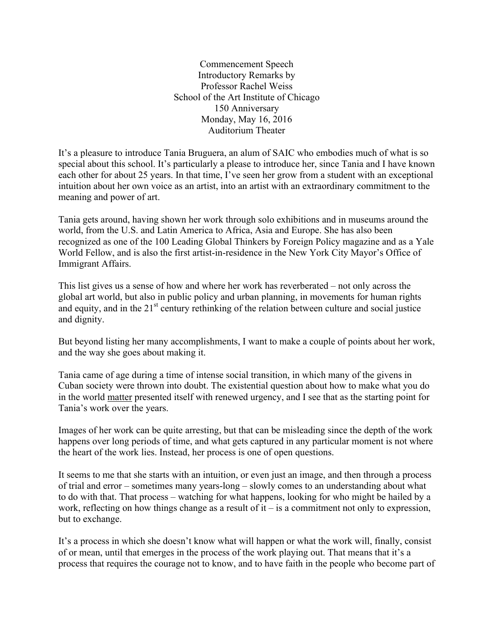Commencement Speech Introductory Remarks by Professor Rachel Weiss School of the Art Institute of Chicago 150 Anniversary Monday, May 16, 2016 Auditorium Theater

It's a pleasure to introduce Tania Bruguera, an alum of SAIC who embodies much of what is so special about this school. It's particularly a please to introduce her, since Tania and I have known each other for about 25 years. In that time, I've seen her grow from a student with an exceptional intuition about her own voice as an artist, into an artist with an extraordinary commitment to the meaning and power of art.

Tania gets around, having shown her work through solo exhibitions and in museums around the world, from the U.S. and Latin America to Africa, Asia and Europe. She has also been recognized as one of the 100 Leading Global Thinkers by Foreign Policy magazine and as a Yale World Fellow, and is also the first artist-in-residence in the New York City Mayor's Office of Immigrant Affairs.

This list gives us a sense of how and where her work has reverberated – not only across the global art world, but also in public policy and urban planning, in movements for human rights and equity, and in the 21<sup>st</sup> century rethinking of the relation between culture and social justice and dignity.

But beyond listing her many accomplishments, I want to make a couple of points about her work, and the way she goes about making it.

Tania came of age during a time of intense social transition, in which many of the givens in Cuban society were thrown into doubt. The existential question about how to make what you do in the world matter presented itself with renewed urgency, and I see that as the starting point for Tania's work over the years.

Images of her work can be quite arresting, but that can be misleading since the depth of the work happens over long periods of time, and what gets captured in any particular moment is not where the heart of the work lies. Instead, her process is one of open questions.

It seems to me that she starts with an intuition, or even just an image, and then through a process of trial and error – sometimes many years-long – slowly comes to an understanding about what to do with that. That process – watching for what happens, looking for who might be hailed by a work, reflecting on how things change as a result of it – is a commitment not only to expression, but to exchange.

It's a process in which she doesn't know what will happen or what the work will, finally, consist of or mean, until that emerges in the process of the work playing out. That means that it's a process that requires the courage not to know, and to have faith in the people who become part of